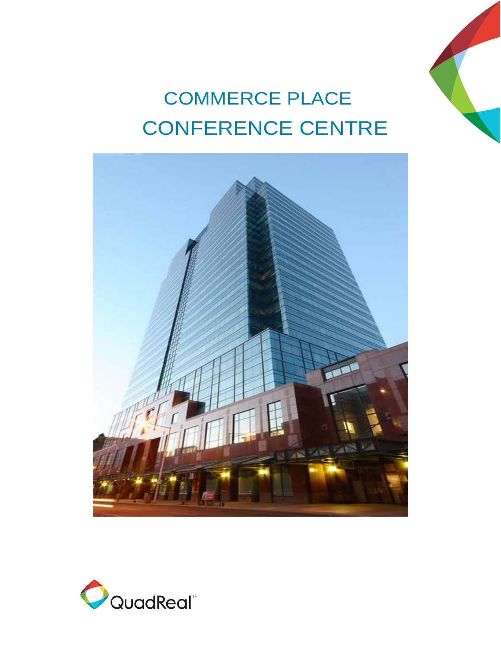

# COMMERCE PLACE CONFERENCE CENTRE



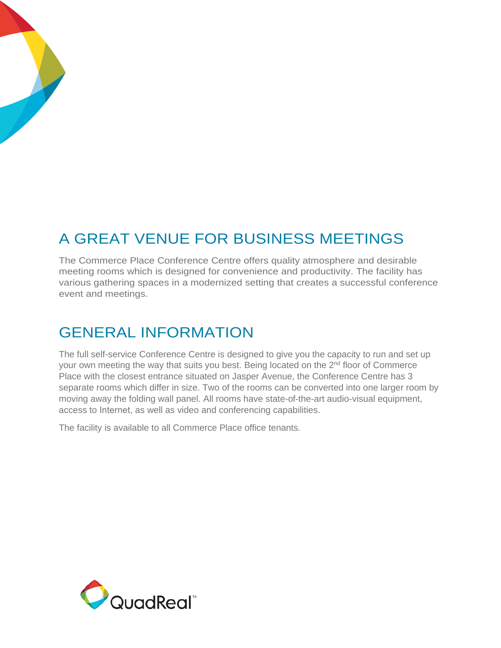### A GREAT VENUE FOR BUSINESS MEETINGS

The Commerce Place Conference Centre offers quality atmosphere and desirable meeting rooms which is designed for convenience and productivity. The facility has various gathering spaces in a modernized setting that creates a successful conference event and meetings.

#### GENERAL INFORMATION

The full self-service Conference Centre is designed to give you the capacity to run and set up your own meeting the way that suits you best. Being located on the 2<sup>nd</sup> floor of Commerce Place with the closest entrance situated on Jasper Avenue, the Conference Centre has 3 separate rooms which differ in size. Two of the rooms can be converted into one larger room by moving away the folding wall panel. All rooms have state-of-the-art audio-visual equipment, access to Internet, as well as video and conferencing capabilities.

The facility is available to all Commerce Place office tenants.

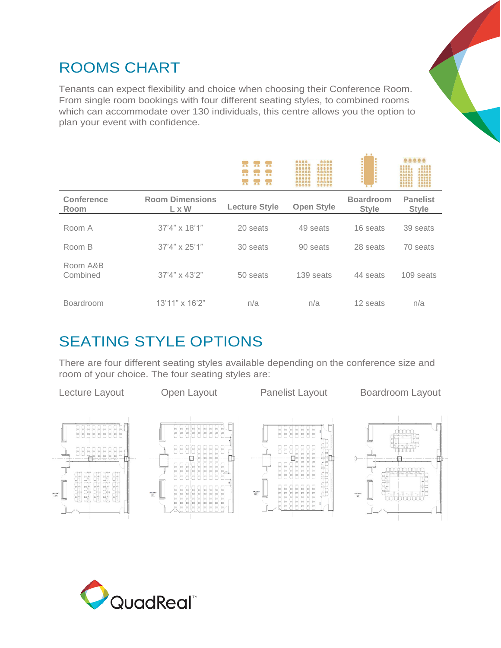#### ROOMS CHART

Tenants can expect flexibility and choice when choosing their Conference Room. From single room bookings with four different seating styles, to combined rooms which can accommodate over 130 individuals, this centre allows you the option to plan your event with confidence.

|                           |                                        | 皇皇<br>0.0<br>00<br>$Q$ $Q$<br>0.9. | 9999<br>8999<br>99995<br>00000<br>00000<br>00000<br>22223<br>00000<br>20925<br>22223<br>00001<br>20000<br>19995<br>00000 |                                  | 22222<br>9999<br>8999<br>22223<br>22225<br>22225<br>99999<br>22221<br>00000<br>00000 |
|---------------------------|----------------------------------------|------------------------------------|--------------------------------------------------------------------------------------------------------------------------|----------------------------------|--------------------------------------------------------------------------------------|
| <b>Conference</b><br>Room | <b>Room Dimensions</b><br>$L \times W$ | <b>Lecture Style</b>               | <b>Open Style</b>                                                                                                        | <b>Boardroom</b><br><b>Style</b> | <b>Panelist</b><br><b>Style</b>                                                      |
| Room A                    | $37'4'' \times 18'1''$                 | 20 seats                           | 49 seats                                                                                                                 | 16 seats                         | 39 seats                                                                             |
| Room B                    | $37'4'' \times 25'1''$                 | 30 seats                           | 90 seats                                                                                                                 | 28 seats                         | 70 seats                                                                             |
| Room A&B<br>Combined      | $37'4'' \times 43'2''$                 | 50 seats                           | 139 seats                                                                                                                | 44 seats                         | 109 seats                                                                            |
| <b>Boardroom</b>          | 13'11" x 16'2"                         | n/a                                | n/a                                                                                                                      | 12 seats                         | n/a                                                                                  |

 $88$ 

#### SEATING STYLE OPTIONS

There are four different seating styles available depending on the conference size and room of your choice. The four seating styles are:



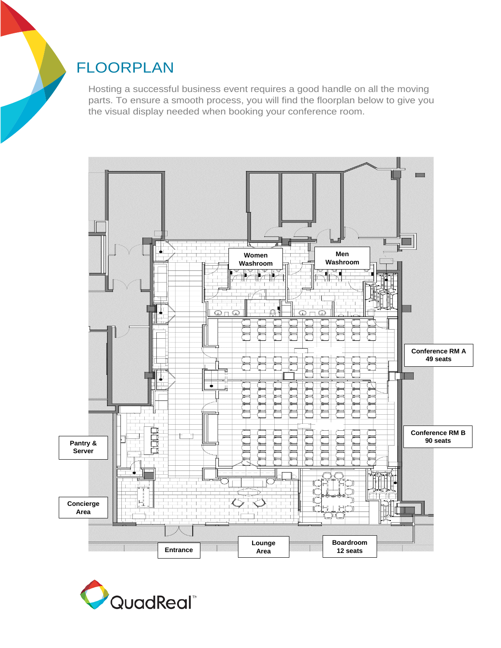#### FLOORPLAN

Hosting a successful business event requires a good handle on all the moving parts. To ensure a smooth process, you will find the floorplan below to give you the visual display needed when booking your conference room.



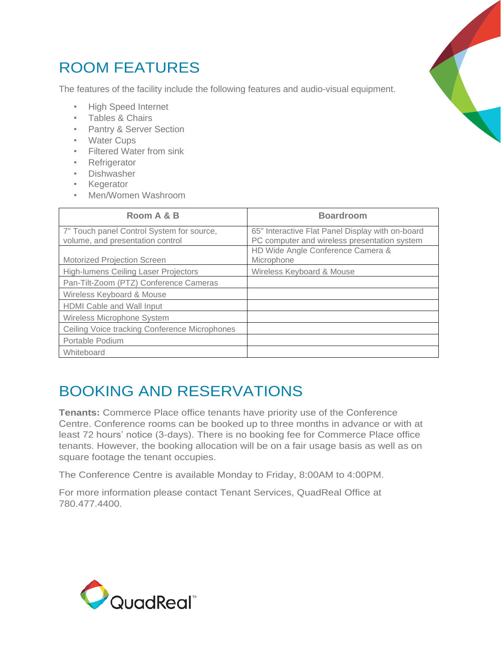### ROOM FEATURES

The features of the facility include the following features and audio-visual equipment.

- High Speed Internet
- Tables & Chairs
- Pantry & Server Section
- Water Cups
- Filtered Water from sink
- Refrigerator
- Dishwasher
- Kegerator
- Men/Women Washroom

| Room A & B                                                                    | <b>Boardroom</b>                                                                                 |
|-------------------------------------------------------------------------------|--------------------------------------------------------------------------------------------------|
| 7" Touch panel Control System for source,<br>volume, and presentation control | 65" Interactive Flat Panel Display with on-board<br>PC computer and wireless presentation system |
| <b>Motorized Projection Screen</b>                                            | HD Wide Angle Conference Camera &<br>Microphone                                                  |
| <b>High-lumens Ceiling Laser Projectors</b>                                   | Wireless Keyboard & Mouse                                                                        |
| Pan-Tilt-Zoom (PTZ) Conference Cameras                                        |                                                                                                  |
| Wireless Keyboard & Mouse                                                     |                                                                                                  |
| <b>HDMI</b> Cable and Wall Input                                              |                                                                                                  |
| Wireless Microphone System                                                    |                                                                                                  |
| Ceiling Voice tracking Conference Microphones                                 |                                                                                                  |
| Portable Podium                                                               |                                                                                                  |
| Whiteboard                                                                    |                                                                                                  |

#### BOOKING AND RESERVATIONS

**Tenants:** Commerce Place office tenants have priority use of the Conference Centre. Conference rooms can be booked up to three months in advance or with at least 72 hours' notice (3-days). There is no booking fee for Commerce Place office tenants. However, the booking allocation will be on a fair usage basis as well as on square footage the tenant occupies.

The Conference Centre is available Monday to Friday, 8:00AM to 4:00PM.

For more information please contact Tenant Services, QuadReal Office at 780.477.4400.



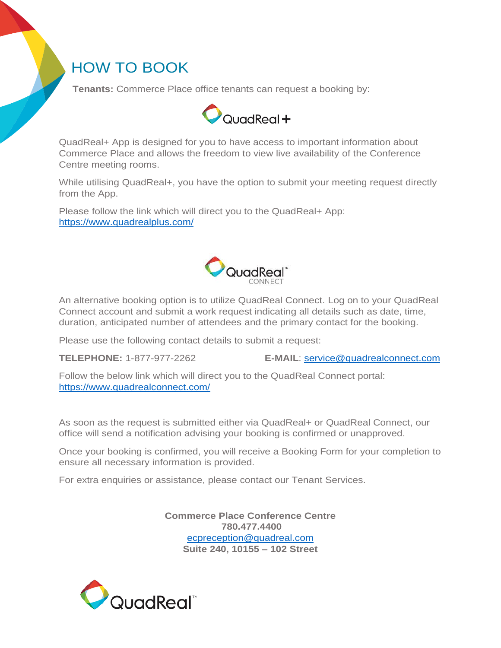#### HOW TO BOOK

 **Tenants:** Commerce Place office tenants can request a booking by:



QuadReal+ App is designed for you to have access to important information about Commerce Place and allows the freedom to view live availability of the Conference Centre meeting rooms.

While utilising QuadReal+, you have the option to submit your meeting request directly from the App.

Please follow the link which will direct you to the QuadReal+ App: <https://www.quadrealplus.com/>



An alternative booking option is to utilize QuadReal Connect. Log on to your QuadReal Connect account and submit a work request indicating all details such as date, time, duration, anticipated number of attendees and the primary contact for the booking.

Please use the following contact details to submit a request:

**TELEPHONE:** 1-877-977-2262 **E-MAIL**: [service@quadrealconnect.com](mailto:service@quadrealconnect.com)

Follow the below link which will direct you to the QuadReal Connect portal: <https://www.quadrealconnect.com/>

As soon as the request is submitted either via QuadReal+ or QuadReal Connect, our office will send a notification advising your booking is confirmed or unapproved.

Once your booking is confirmed, you will receive a Booking Form for your completion to ensure all necessary information is provided.

For extra enquiries or assistance, please contact our Tenant Services.

**Commerce Place Conference Centre 780.477.4400** [ecpreception@quadreal.com](mailto:ecpreception@quadreal.com) **Suite 240, 10155 – 102 Street**

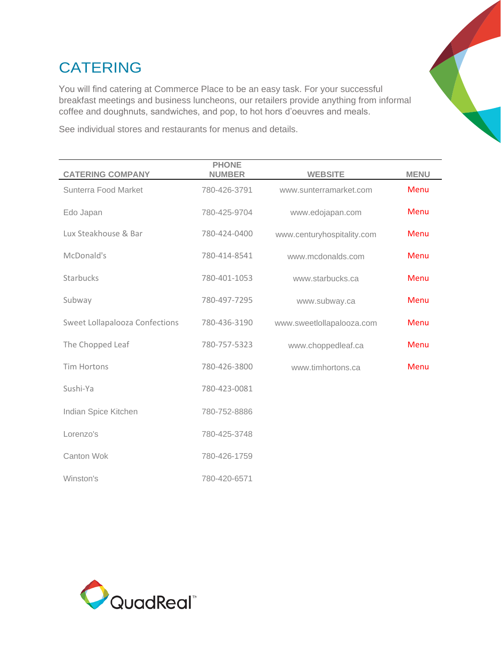### CATERING

You will find catering at Commerce Place to be an easy task. For your successful breakfast meetings and business luncheons, our retailers provide anything from informal coffee and doughnuts, sandwiches, and pop, to hot hors d'oeuvres and meals.

See individual stores and restaurants for menus and details.

| <b>CATERING COMPANY</b>               | <b>PHONE</b><br><b>NUMBER</b> | <b>WEBSITE</b>             | <b>MENU</b> |
|---------------------------------------|-------------------------------|----------------------------|-------------|
| Sunterra Food Market                  | 780-426-3791                  | www.sunterramarket.com     | Menu        |
| Edo Japan                             | 780-425-9704                  | www.edojapan.com           | Menu        |
| Lux Steakhouse & Bar                  | 780-424-0400                  | www.centuryhospitality.com | Menu        |
| McDonald's                            | 780-414-8541                  | www.mcdonalds.com          | Menu        |
| <b>Starbucks</b>                      | 780-401-1053                  | www.starbucks.ca           | Menu        |
| Subway                                | 780-497-7295                  | www.subway.ca              | Menu        |
| <b>Sweet Lollapalooza Confections</b> | 780-436-3190                  | www.sweetlollapalooza.com  | Menu        |
| The Chopped Leaf                      | 780-757-5323                  | www.choppedleaf.ca         | Menu        |
| <b>Tim Hortons</b>                    | 780-426-3800                  | www.timhortons.ca          | Menu        |
| Sushi-Ya                              | 780-423-0081                  |                            |             |
| Indian Spice Kitchen                  | 780-752-8886                  |                            |             |
| Lorenzo's                             | 780-425-3748                  |                            |             |
| Canton Wok                            | 780-426-1759                  |                            |             |
| Winston's                             | 780-420-6571                  |                            |             |

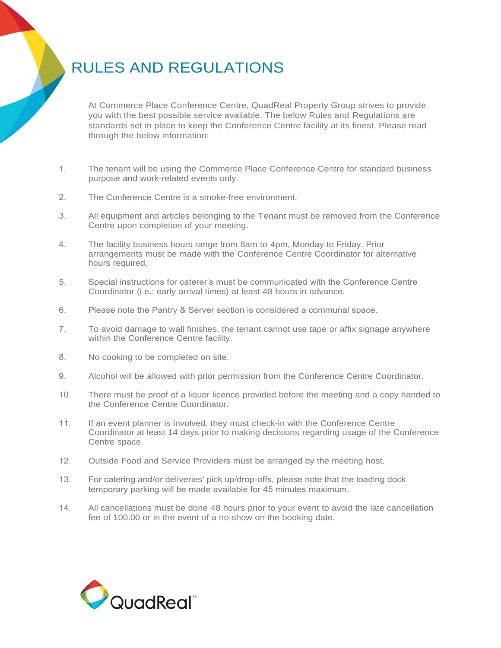## RULES AND REGULATIONS

At Commerce Place Conference Centre, QuadReal Property Group strives to provide you with the best possible service available. The below Rules and Regulations are standards set in place to keep the Conference Centre facility at its finest. Please read through the below information:

- 1. The tenant will be using the Commerce Place Conference Centre for standard business purpose and work-related events only.
- 2. The Conference Centre is a smoke-free environment.
- 3. All equipment and articles belonging to the Tenant must be removed from the Conference Centre upon completion of your meeting.
- 4. The facility business hours range from 8am to 4pm, Monday to Friday. Prior arrangements must be made with the Conference Centre Coordinator for alternative hours required.
- 5. Special instructions for caterer's must be communicated with the Conference Centre Coordinator (i.e.: early arrival times) at least 48 hours in advance.
- 6. Please note the Pantry & Server section is considered a communal space.
- 7. To avoid damage to wall finishes, the tenant cannot use tape or affix signage anywhere within the Conference Centre facility.
- 8. No cooking to be completed on site.
- 9. Alcohol will be allowed with prior permission from the Conference Centre Coordinator.
- 10. There must be proof of a liquor licence provided before the meeting and a copy handed to the Conference Centre Coordinator.
- 11. If an event planner is involved, they must check-in with the Conference Centre Coordinator at least 14 days prior to making decisions regarding usage of the Conference Centre space.
- 12. Outside Food and Service Providers must be arranged by the meeting host.
- 13. For catering and/or deliveries' pick up/drop-offs, please note that the loading dock temporary parking will be made available for 45 minutes maximum.
- 14. All cancellations must be done 48 hours prior to your event to avoid the late cancellation fee of 100.00 or in the event of a no-show on the booking date.